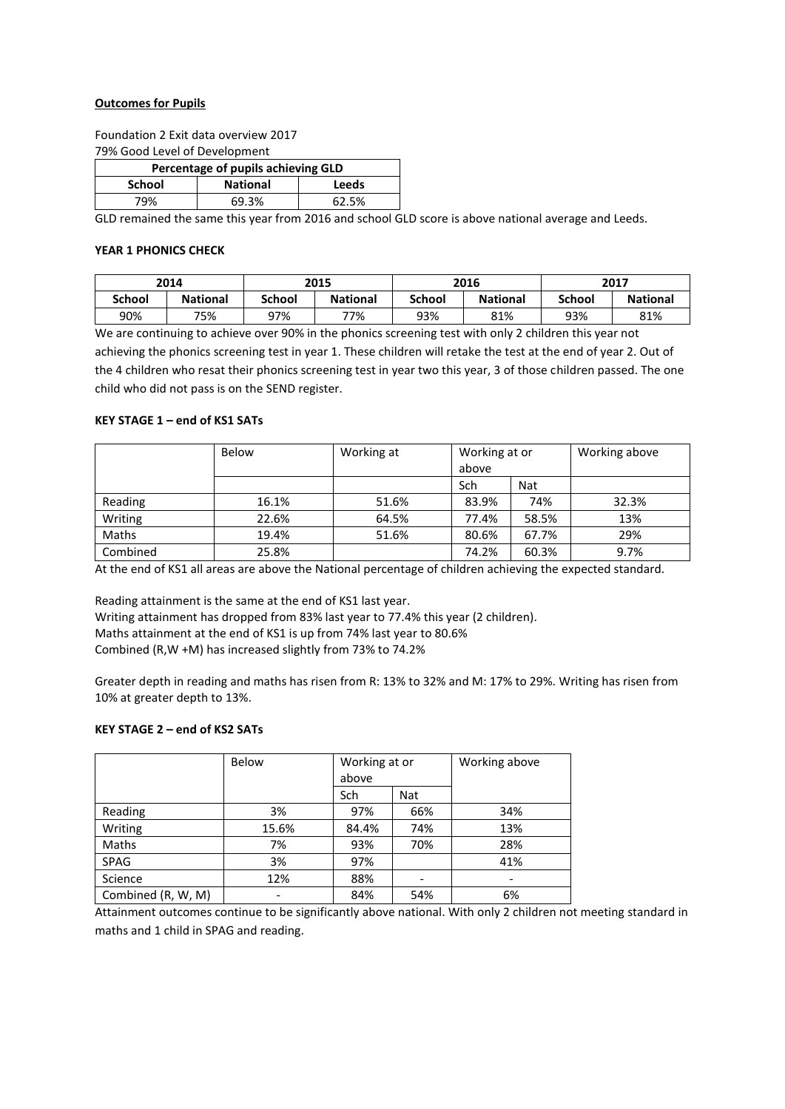### **Outcomes for Pupils**

Foundation 2 Exit data overview 2017 79% Good Level of Development

| Percentage of pupils achieving GLD |                 |       |  |  |
|------------------------------------|-----------------|-------|--|--|
| School                             | <b>National</b> | Leeds |  |  |
| 79%                                | 69.3%           | 62.5% |  |  |

GLD remained the same this year from 2016 and school GLD score is above national average and Leeds.

#### **YEAR 1 PHONICS CHECK**

|               | 2014            |               | 2015            |               | 2016            |               | 2017            |
|---------------|-----------------|---------------|-----------------|---------------|-----------------|---------------|-----------------|
| <b>School</b> | <b>National</b> | <b>School</b> | <b>National</b> | <b>School</b> | <b>National</b> | <b>School</b> | <b>National</b> |
| 90%           | 75%             | 97%           | 77%             | 93%           | 81%             | 93%           | 81%             |

We are continuing to achieve over 90% in the phonics screening test with only 2 children this year not achieving the phonics screening test in year 1. These children will retake the test at the end of year 2. Out of the 4 children who resat their phonics screening test in year two this year, 3 of those children passed. The one child who did not pass is on the SEND register.

#### **KEY STAGE 1 – end of KS1 SATs**

|          | <b>Below</b> | Working at | Working at or |            | Working above |
|----------|--------------|------------|---------------|------------|---------------|
|          |              |            | above         |            |               |
|          |              |            | Sch           | <b>Nat</b> |               |
| Reading  | 16.1%        | 51.6%      | 83.9%         | 74%        | 32.3%         |
| Writing  | 22.6%        | 64.5%      | 77.4%         | 58.5%      | 13%           |
| Maths    | 19.4%        | 51.6%      | 80.6%         | 67.7%      | 29%           |
| Combined | 25.8%        |            | 74.2%         | 60.3%      | 9.7%          |

At the end of KS1 all areas are above the National percentage of children achieving the expected standard.

Reading attainment is the same at the end of KS1 last year. Writing attainment has dropped from 83% last year to 77.4% this year (2 children). Maths attainment at the end of KS1 is up from 74% last year to 80.6% Combined (R,W +M) has increased slightly from 73% to 74.2%

Greater depth in reading and maths has risen from R: 13% to 32% and M: 17% to 29%. Writing has risen from 10% at greater depth to 13%.

## **KEY STAGE 2 – end of KS2 SATs**

|                    | Below | Working at or |     | Working above |
|--------------------|-------|---------------|-----|---------------|
|                    |       | above         |     |               |
|                    |       | Sch           | Nat |               |
| Reading            | 3%    | 97%           | 66% | 34%           |
| Writing            | 15.6% | 84.4%         | 74% | 13%           |
| Maths              | 7%    | 93%           | 70% | 28%           |
| <b>SPAG</b>        | 3%    | 97%           |     | 41%           |
| Science            | 12%   | 88%           |     |               |
| Combined (R, W, M) |       | 84%           | 54% | 6%            |

Attainment outcomes continue to be significantly above national. With only 2 children not meeting standard in maths and 1 child in SPAG and reading.